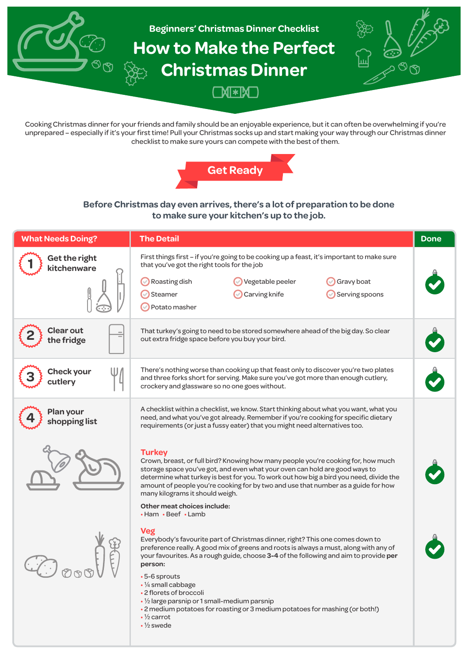

Cooking Christmas dinner for your friends and family should be an enjoyable experience, but it can often be overwhelming if you're unprepared – especially if it's your first time! Pull your Christmas socks up and start making your way through our Christmas dinner checklist to make sure yours can compete with the best of them.



# **Before Christmas day even arrives, there's a lot of preparation to be done to make sure your kitchen's up to the job.**

| <b>What Needs Doing?</b>       | <b>The Detail</b>                                                                                                                                                                                                                                                                                                                                                                                   | <b>Done</b> |
|--------------------------------|-----------------------------------------------------------------------------------------------------------------------------------------------------------------------------------------------------------------------------------------------------------------------------------------------------------------------------------------------------------------------------------------------------|-------------|
| Get the right<br>kitchenware   | First things first – if you're going to be cooking up a feast, it's important to make sure<br>that you've got the right tools for the job                                                                                                                                                                                                                                                           |             |
|                                | Roasting dish<br>Vegetable peeler<br>Gravy boat<br>Steamer<br>Carving knife<br>Serving spoons<br>Potato masher                                                                                                                                                                                                                                                                                      |             |
| <b>Clear out</b><br>the fridge | That turkey's going to need to be stored somewhere ahead of the big day. So clear<br>out extra fridge space before you buy your bird.                                                                                                                                                                                                                                                               |             |
| <b>Check your</b><br>cutlery   | There's nothing worse than cooking up that feast only to discover you're two plates<br>and three forks short for serving. Make sure you've got more than enough cutlery,<br>crockery and glassware so no one goes without.                                                                                                                                                                          |             |
| Plan your<br>shopping list     | A checklist within a checklist, we know. Start thinking about what you want, what you<br>need, and what you've got already. Remember if you're cooking for specific dietary<br>requirements (or just a fussy eater) that you might need alternatives too.                                                                                                                                           |             |
|                                | <b>Turkey</b><br>Crown, breast, or full bird? Knowing how many people you're cooking for, how much<br>storage space you've got, and even what your oven can hold are good ways to<br>determine what turkey is best for you. To work out how big a bird you need, divide the<br>amount of people you're cooking for by two and use that number as a guide for how<br>many kilograms it should weigh. |             |
|                                | Other meat choices include:<br>• Ham • Beef • Lamb                                                                                                                                                                                                                                                                                                                                                  |             |
|                                | <b>Veg</b><br>Everybody's favourite part of Christmas dinner, right? This one comes down to<br>preference really. A good mix of greens and roots is always a must, along with any of<br>your favourites. As a rough guide, choose 3-4 of the following and aim to provide per<br>person:                                                                                                            |             |
|                                | •5-6 sprouts<br>$\cdot$ 1/ <sub>4</sub> small cabbage<br>• 2 florets of broccoli<br>$\cdot$ 1/2 large parsnip or 1 small-medium parsnip<br>• 2 medium potatoes for roasting or 3 medium potatoes for mashing (or both!)<br>$\cdot$ 1/ <sub>2</sub> carrot<br>$\cdot$ 1/ <sub>2</sub> swede                                                                                                          |             |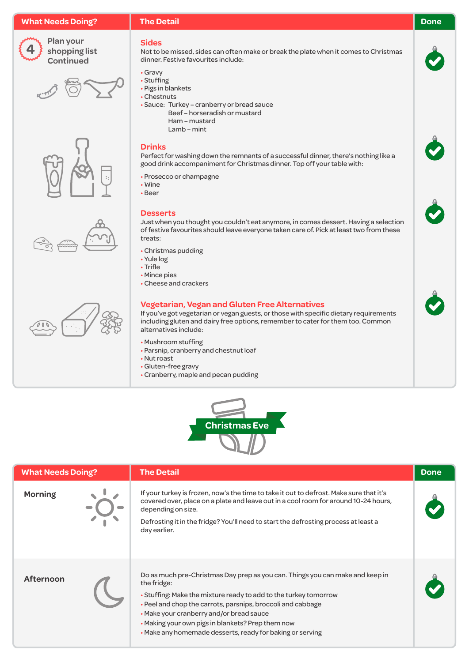## **What Needs Doing?**



**Plan your shopping list Continued**









### **Sides**

Not to be missed, sides can often make or break the plate when it comes to Christmas dinner. Festive favourites include:

- Gravy
- Stuffing
- Pigs in blankets
- Chestnuts
- Sauce: Turkey cranberry or bread sauce
	- Beef horseradish or mustard Ham – mustard
		- Lamb mint

### **Drinks**

Perfect for washing down the remnants of a successful dinner, there's nothing like a good drink accompaniment for Christmas dinner. Top off your table with:

- Prosecco or champagne
- Wine
- Beer

# **Desserts**

Just when you thought you couldn't eat anymore, in comes dessert. Having a selection of festive favourites should leave everyone taken care of. Pick at least two from these treats:

- Christmas pudding
- Yule log
- Trifle
- Mince pies
- Cheese and crackers

## **Vegetarian, Vegan and Gluten Free Alternatives**

If you've got vegetarian or vegan guests, or those with specific dietary requirements including gluten and dairy free options, remember to cater for them too. Common alternatives include:

- Mushroom stuffing
- Parsnip, cranberry and chestnut loaf
- Nut roast
- Gluten-free gravy
- Cranberry, maple and pecan pudding



| <b>What Needs Doing?</b> | <b>The Detail</b>                                                                                                                                                                                                                                                                                                                                                                             | <b>Done</b> |
|--------------------------|-----------------------------------------------------------------------------------------------------------------------------------------------------------------------------------------------------------------------------------------------------------------------------------------------------------------------------------------------------------------------------------------------|-------------|
| <b>Morning</b>           | If your turkey is frozen, now's the time to take it out to defrost. Make sure that it's<br>covered over, place on a plate and leave out in a cool room for around 10-24 hours,<br>depending on size.<br>Defrosting it in the fridge? You'll need to start the defrosting process at least a<br>day earlier.                                                                                   |             |
| <b>Afternoon</b>         | Do as much pre-Christmas Day prep as you can. Things you can make and keep in<br>the fridge:<br>• Stuffing: Make the mixture ready to add to the turkey tomorrow<br>• Peel and chop the carrots, parsnips, broccoli and cabbage<br>• Make your cranberry and/or bread sauce<br>• Making your own pigs in blankets? Prep them now<br>• Make any homemade desserts, ready for baking or serving |             |